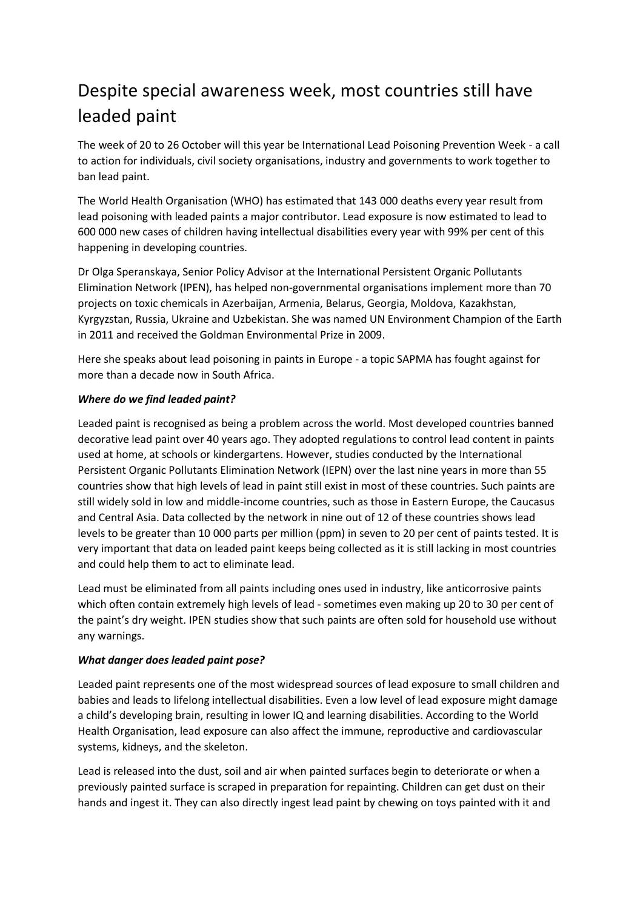# Despite special awareness week, most countries still have leaded paint

The week of 20 to 26 October will this year be International Lead Poisoning Prevention Week - a call to action for individuals, civil society organisations, industry and governments to work together to ban lead paint.

The World Health Organisation (WHO) has estimated that 143 000 deaths every year result from lead poisoning with leaded paints a major contributor. Lead exposure is now estimated to lead to 600 000 new cases of children having intellectual disabilities every year with 99% per cent of this happening in developing countries.

Dr Olga Speranskaya, Senior Policy Advisor at the International Persistent Organic Pollutants Elimination Network (IPEN), has helped non-governmental organisations implement more than 70 projects on toxic chemicals in Azerbaijan, Armenia, Belarus, Georgia, Moldova, Kazakhstan, Kyrgyzstan, Russia, Ukraine and Uzbekistan. She was named UN Environment Champion of the Earth in 2011 and received the Goldman Environmental Prize in 2009.

Here she speaks about lead poisoning in paints in Europe - a topic SAPMA has fought against for more than a decade now in South Africa.

### *Where do we find leaded paint?*

Leaded paint is recognised as being a problem across the world. Most developed countries banned decorative lead paint over 40 years ago. They adopted regulations to control lead content in paints used at home, at schools or kindergartens. However, studies conducted by the International Persistent Organic Pollutants Elimination Network (IEPN) over the last nine years in more than 55 countries show that high levels of lead in paint still exist in most of these countries. Such paints are still widely sold in low and middle-income countries, such as those in Eastern Europe, the Caucasus and Central Asia. Data collected by the network in nine out of 12 of these countries shows lead levels to be greater than 10 000 parts per million (ppm) in seven to 20 per cent of paints tested. It is very important that data on leaded paint keeps being collected as it is still lacking in most countries and could help them to act to eliminate lead.

Lead must be eliminated from all paints including ones used in industry, like anticorrosive paints which often contain extremely high levels of lead - sometimes even making up 20 to 30 per cent of the paint's dry weight. IPEN studies show that such paints are often sold for household use without any warnings.

### *What danger does leaded paint pose?*

Leaded paint represents one of the most widespread sources of lead exposure to small children and babies and leads to lifelong intellectual disabilities. Even a low level of lead exposure might damage a child's developing brain, resulting in lower IQ and learning disabilities. According to the World Health Organisation, lead exposure can also affect the immune, reproductive and cardiovascular systems, kidneys, and the skeleton.

Lead is released into the dust, soil and air when painted surfaces begin to deteriorate or when a previously painted surface is scraped in preparation for repainting. Children can get dust on their hands and ingest it. They can also directly ingest lead paint by chewing on toys painted with it and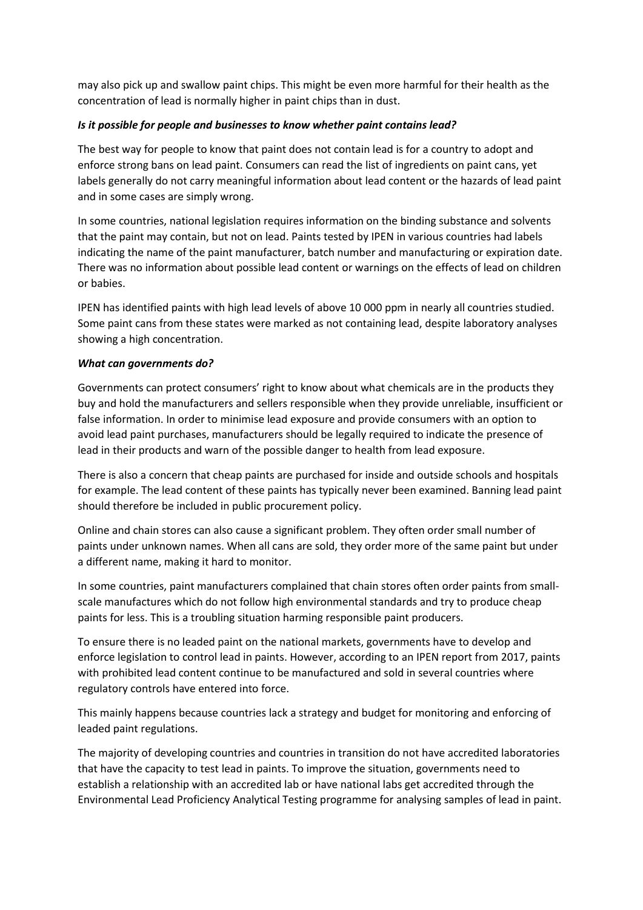may also pick up and swallow paint chips. This might be even more harmful for their health as the concentration of lead is normally higher in paint chips than in dust.

### *Is it possible for people and businesses to know whether paint contains lead?*

The best way for people to know that paint does not contain lead is for a country to adopt and enforce strong bans on lead paint. Consumers can read the list of ingredients on paint cans, yet labels generally do not carry meaningful information about lead content or the hazards of lead paint and in some cases are simply wrong.

In some countries, national legislation requires information on the binding substance and solvents that the paint may contain, but not on lead. Paints tested by IPEN in various countries had labels indicating the name of the paint manufacturer, batch number and manufacturing or expiration date. There was no information about possible lead content or warnings on the effects of lead on children or babies.

IPEN has identified paints with high lead levels of above 10 000 ppm in nearly all countries studied. Some paint cans from these states were marked as not containing lead, despite laboratory analyses showing a high concentration.

#### *What can governments do?*

Governments can protect consumers' right to know about what chemicals are in the products they buy and hold the manufacturers and sellers responsible when they provide unreliable, insufficient or false information. In order to minimise lead exposure and provide consumers with an option to avoid lead paint purchases, manufacturers should be legally required to indicate the presence of lead in their products and warn of the possible danger to health from lead exposure.

There is also a concern that cheap paints are purchased for inside and outside schools and hospitals for example. The lead content of these paints has typically never been examined. Banning lead paint should therefore be included in public procurement policy.

Online and chain stores can also cause a significant problem. They often order small number of paints under unknown names. When all cans are sold, they order more of the same paint but under a different name, making it hard to monitor.

In some countries, paint manufacturers complained that chain stores often order paints from smallscale manufactures which do not follow high environmental standards and try to produce cheap paints for less. This is a troubling situation harming responsible paint producers.

To ensure there is no leaded paint on the national markets, governments have to develop and enforce legislation to control lead in paints. However, according to an IPEN report from 2017, paints with prohibited lead content continue to be manufactured and sold in several countries where regulatory controls have entered into force.

This mainly happens because countries lack a strategy and budget for monitoring and enforcing of leaded paint regulations.

The majority of developing countries and countries in transition do not have accredited laboratories that have the capacity to test lead in paints. To improve the situation, governments need to establish a relationship with an accredited lab or have national labs get accredited through the Environmental Lead Proficiency Analytical Testing programme for analysing samples of lead in paint.